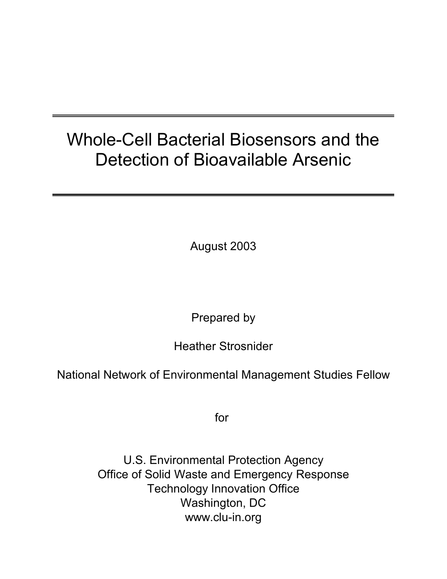August 2003

Prepared by

Heather Strosnider

National Network of Environmental Management Studies Fellow

for

U.S. Environmental Protection Agency Office of Solid Waste and Emergency Response Technology Innovation Office Washington, DC www.clu-in.org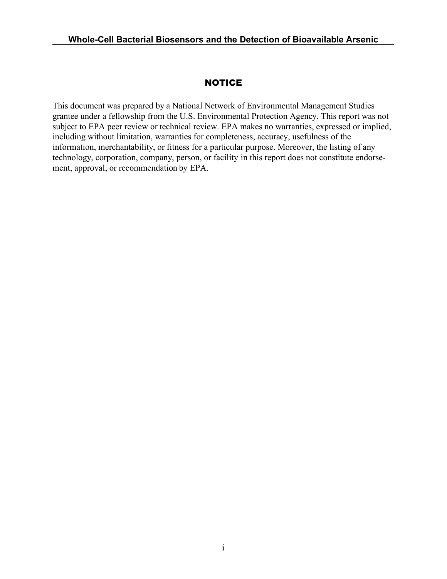#### **NOTICE**

This document was prepared by a National Network of Environmental Management Studies grantee under a fellowship from the U.S. Environmental Protection Agency. This report was not subject to EPA peer review or technical review. EPA makes no warranties, expressed or implied, including without limitation, warranties for completeness, accuracy, usefulness of the information, merchantability, or fitness for a particular purpose. Moreover, the listing of any technology, corporation, company, person, or facility in this report does not constitute endorsement, approval, or recommendation by EPA.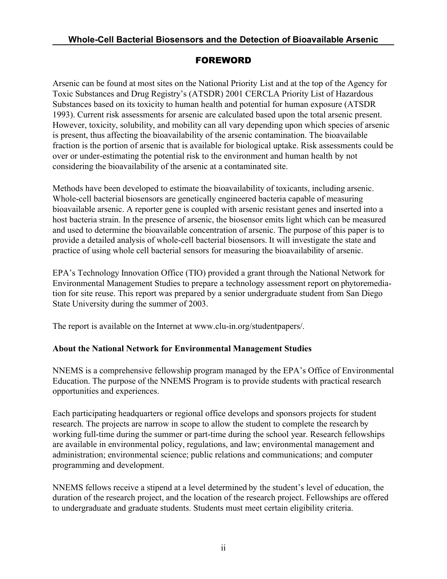#### FOREWORD

Arsenic can be found at most sites on the National Priority List and at the top of the Agency for Toxic Substances and Drug Registry's (ATSDR) 2001 CERCLA Priority List of Hazardous Substances based on its toxicity to human health and potential for human exposure (ATSDR 1993). Current risk assessments for arsenic are calculated based upon the total arsenic present. However, toxicity, solubility, and mobility can all vary depending upon which species of arsenic is present, thus affecting the bioavailability of the arsenic contamination. The bioavailable fraction is the portion of arsenic that is available for biological uptake. Risk assessments could be over or under-estimating the potential risk to the environment and human health by not considering the bioavailability of the arsenic at a contaminated site.

Methods have been developed to estimate the bioavailability of toxicants, including arsenic. Whole-cell bacterial biosensors are genetically engineered bacteria capable of measuring bioavailable arsenic. A reporter gene is coupled with arsenic resistant genes and inserted into a host bacteria strain. In the presence of arsenic, the biosensor emits light which can be measured and used to determine the bioavailable concentration of arsenic. The purpose of this paper is to provide a detailed analysis of whole-cell bacterial biosensors. It will investigate the state and practice of using whole cell bacterial sensors for measuring the bioavailability of arsenic.

EPA's Technology Innovation Office (TIO) provided a grant through the National Network for Environmental Management Studies to prepare a technology assessment report on phytoremediation for site reuse. This report was prepared by a senior undergraduate student from San Diego State University during the summer of 2003.

The report is available on the Internet at www.clu-in.org/studentpapers/.

#### **About the National Network for Environmental Management Studies**

NNEMS is a comprehensive fellowship program managed by the EPA's Office of Environmental Education. The purpose of the NNEMS Program is to provide students with practical research opportunities and experiences.

Each participating headquarters or regional office develops and sponsors projects for student research. The projects are narrow in scope to allow the student to complete the research by working full-time during the summer or part-time during the school year. Research fellowships are available in environmental policy, regulations, and law; environmental management and administration; environmental science; public relations and communications; and computer programming and development.

NNEMS fellows receive a stipend at a level determined by the student's level of education, the duration of the research project, and the location of the research project. Fellowships are offered to undergraduate and graduate students. Students must meet certain eligibility criteria.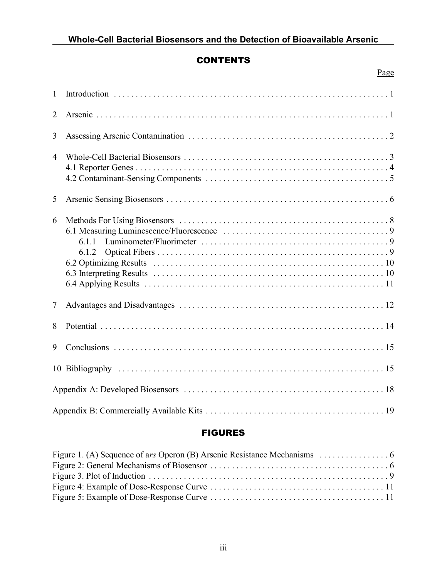#### **CONTENTS**

|                |                | Page |
|----------------|----------------|------|
| $\mathbf{1}$   |                |      |
| $\overline{2}$ |                |      |
| 3              |                |      |
| $\overline{4}$ |                |      |
| 5              |                |      |
| 6              | 6.1.1<br>6.1.2 |      |
| $\tau$         |                |      |
| 8              |                |      |
| 9              |                |      |
|                |                |      |
|                |                |      |
|                |                |      |

#### FIGURES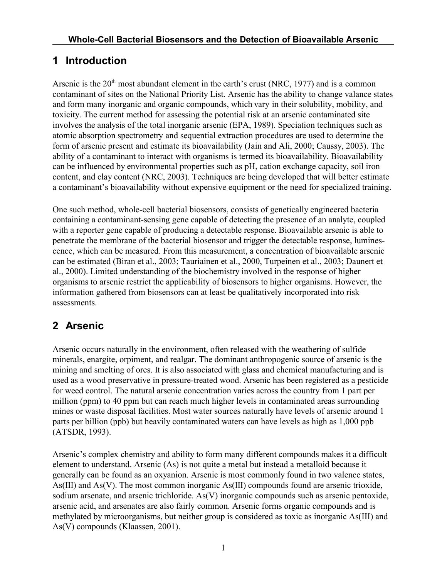## **1 Introduction**

Arsenic is the  $20<sup>th</sup>$  most abundant element in the earth's crust (NRC, 1977) and is a common contaminant of sites on the National Priority List. Arsenic has the ability to change valance states and form many inorganic and organic compounds, which vary in their solubility, mobility, and toxicity. The current method for assessing the potential risk at an arsenic contaminated site involves the analysis of the total inorganic arsenic (EPA, 1989). Speciation techniques such as atomic absorption spectrometry and sequential extraction procedures are used to determine the form of arsenic present and estimate its bioavailability (Jain and Ali, 2000; Caussy, 2003). The ability of a contaminant to interact with organisms is termed its bioavailability. Bioavailability can be influenced by environmental properties such as pH, cation exchange capacity, soil iron content, and clay content (NRC, 2003). Techniques are being developed that will better estimate a contaminant's bioavailability without expensive equipment or the need for specialized training.

One such method, whole-cell bacterial biosensors, consists of genetically engineered bacteria containing a contaminant-sensing gene capable of detecting the presence of an analyte, coupled with a reporter gene capable of producing a detectable response. Bioavailable arsenic is able to penetrate the membrane of the bacterial biosensor and trigger the detectable response, luminescence, which can be measured. From this measurement, a concentration of bioavailable arsenic can be estimated (Biran et al., 2003; Tauriainen et al., 2000, Turpeinen et al., 2003; Daunert et al., 2000). Limited understanding of the biochemistry involved in the response of higher organisms to arsenic restrict the applicability of biosensors to higher organisms. However, the information gathered from biosensors can at least be qualitatively incorporated into risk assessments.

## **2 Arsenic**

Arsenic occurs naturally in the environment, often released with the weathering of sulfide minerals, enargite, orpiment, and realgar. The dominant anthropogenic source of arsenic is the mining and smelting of ores. It is also associated with glass and chemical manufacturing and is used as a wood preservative in pressure-treated wood. Arsenic has been registered as a pesticide for weed control. The natural arsenic concentration varies across the country from 1 part per million (ppm) to 40 ppm but can reach much higher levels in contaminated areas surrounding mines or waste disposal facilities. Most water sources naturally have levels of arsenic around 1 parts per billion (ppb) but heavily contaminated waters can have levels as high as 1,000 ppb (ATSDR, 1993).

Arsenic's complex chemistry and ability to form many different compounds makes it a difficult element to understand. Arsenic (As) is not quite a metal but instead a metalloid because it generally can be found as an oxyanion. Arsenic is most commonly found in two valence states, As(III) and As(V). The most common inorganic As(III) compounds found are arsenic trioxide, sodium arsenate, and arsenic trichloride. As(V) inorganic compounds such as arsenic pentoxide, arsenic acid, and arsenates are also fairly common. Arsenic forms organic compounds and is methylated by microorganisms, but neither group is considered as toxic as inorganic As(III) and As(V) compounds (Klaassen, 2001).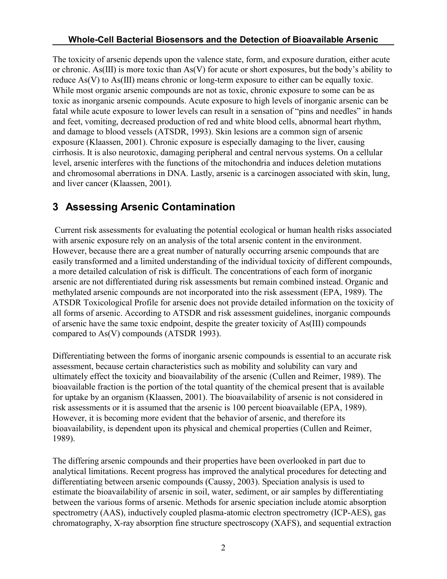The toxicity of arsenic depends upon the valence state, form, and exposure duration, either acute or chronic. As(III) is more toxic than  $As(V)$  for acute or short exposures, but the body's ability to reduce As(V) to As(III) means chronic or long-term exposure to either can be equally toxic. While most organic arsenic compounds are not as toxic, chronic exposure to some can be as toxic as inorganic arsenic compounds. Acute exposure to high levels of inorganic arsenic can be fatal while acute exposure to lower levels can result in a sensation of "pins and needles" in hands and feet, vomiting, decreased production of red and white blood cells, abnormal heart rhythm, and damage to blood vessels (ATSDR, 1993). Skin lesions are a common sign of arsenic exposure (Klaassen, 2001). Chronic exposure is especially damaging to the liver, causing cirrhosis. It is also neurotoxic, damaging peripheral and central nervous systems. On a cellular level, arsenic interferes with the functions of the mitochondria and induces deletion mutations and chromosomal aberrations in DNA. Lastly, arsenic is a carcinogen associated with skin, lung, and liver cancer (Klaassen, 2001).

## **3 Assessing Arsenic Contamination**

 Current risk assessments for evaluating the potential ecological or human health risks associated with arsenic exposure rely on an analysis of the total arsenic content in the environment. However, because there are a great number of naturally occurring arsenic compounds that are easily transformed and a limited understanding of the individual toxicity of different compounds, a more detailed calculation of risk is difficult. The concentrations of each form of inorganic arsenic are not differentiated during risk assessments but remain combined instead. Organic and methylated arsenic compounds are not incorporated into the risk assessment (EPA, 1989). The ATSDR Toxicological Profile for arsenic does not provide detailed information on the toxicity of all forms of arsenic. According to ATSDR and risk assessment guidelines, inorganic compounds of arsenic have the same toxic endpoint, despite the greater toxicity of As(III) compounds compared to As(V) compounds (ATSDR 1993).

Differentiating between the forms of inorganic arsenic compounds is essential to an accurate risk assessment, because certain characteristics such as mobility and solubility can vary and ultimately effect the toxicity and bioavailability of the arsenic (Cullen and Reimer, 1989). The bioavailable fraction is the portion of the total quantity of the chemical present that is available for uptake by an organism (Klaassen, 2001). The bioavailability of arsenic is not considered in risk assessments or it is assumed that the arsenic is 100 percent bioavailable (EPA, 1989). However, it is becoming more evident that the behavior of arsenic, and therefore its bioavailability, is dependent upon its physical and chemical properties (Cullen and Reimer, 1989).

The differing arsenic compounds and their properties have been overlooked in part due to analytical limitations. Recent progress has improved the analytical procedures for detecting and differentiating between arsenic compounds (Caussy, 2003). Speciation analysis is used to estimate the bioavailability of arsenic in soil, water, sediment, or air samples by differentiating between the various forms of arsenic. Methods for arsenic speciation include atomic absorption spectrometry (AAS), inductively coupled plasma-atomic electron spectrometry (ICP-AES), gas chromatography, X-ray absorption fine structure spectroscopy (XAFS), and sequential extraction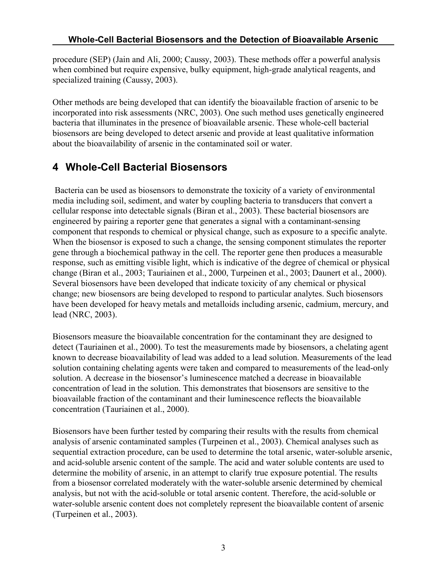procedure (SEP) (Jain and Ali, 2000; Caussy, 2003). These methods offer a powerful analysis when combined but require expensive, bulky equipment, high-grade analytical reagents, and specialized training (Caussy, 2003).

Other methods are being developed that can identify the bioavailable fraction of arsenic to be incorporated into risk assessments (NRC, 2003). One such method uses genetically engineered bacteria that illuminates in the presence of bioavailable arsenic. These whole-cell bacterial biosensors are being developed to detect arsenic and provide at least qualitative information about the bioavailability of arsenic in the contaminated soil or water.

## **4 Whole-Cell Bacterial Biosensors**

 Bacteria can be used as biosensors to demonstrate the toxicity of a variety of environmental media including soil, sediment, and water by coupling bacteria to transducers that convert a cellular response into detectable signals (Biran et al., 2003). These bacterial biosensors are engineered by pairing a reporter gene that generates a signal with a contaminant-sensing component that responds to chemical or physical change, such as exposure to a specific analyte. When the biosensor is exposed to such a change, the sensing component stimulates the reporter gene through a biochemical pathway in the cell. The reporter gene then produces a measurable response, such as emitting visible light, which is indicative of the degree of chemical or physical change (Biran et al., 2003; Tauriainen et al., 2000, Turpeinen et al., 2003; Daunert et al., 2000). Several biosensors have been developed that indicate toxicity of any chemical or physical change; new biosensors are being developed to respond to particular analytes. Such biosensors have been developed for heavy metals and metalloids including arsenic, cadmium, mercury, and lead (NRC, 2003).

Biosensors measure the bioavailable concentration for the contaminant they are designed to detect (Tauriainen et al., 2000). To test the measurements made by biosensors, a chelating agent known to decrease bioavailability of lead was added to a lead solution. Measurements of the lead solution containing chelating agents were taken and compared to measurements of the lead-only solution. A decrease in the biosensor's luminescence matched a decrease in bioavailable concentration of lead in the solution. This demonstrates that biosensors are sensitive to the bioavailable fraction of the contaminant and their luminescence reflects the bioavailable concentration (Tauriainen et al., 2000).

Biosensors have been further tested by comparing their results with the results from chemical analysis of arsenic contaminated samples (Turpeinen et al., 2003). Chemical analyses such as sequential extraction procedure, can be used to determine the total arsenic, water-soluble arsenic, and acid-soluble arsenic content of the sample. The acid and water soluble contents are used to determine the mobility of arsenic, in an attempt to clarify true exposure potential. The results from a biosensor correlated moderately with the water-soluble arsenic determined by chemical analysis, but not with the acid-soluble or total arsenic content. Therefore, the acid-soluble or water-soluble arsenic content does not completely represent the bioavailable content of arsenic (Turpeinen et al., 2003).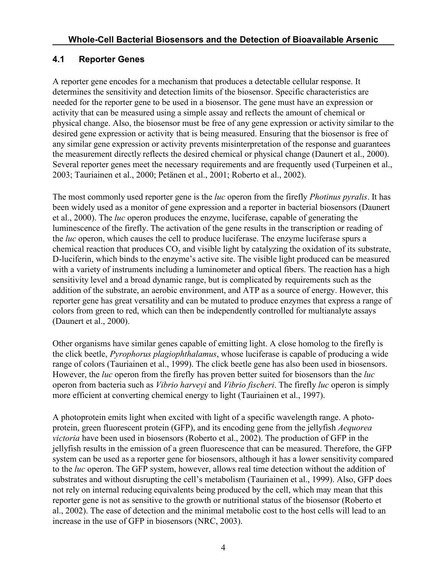#### **4.1 Reporter Genes**

A reporter gene encodes for a mechanism that produces a detectable cellular response. It determines the sensitivity and detection limits of the biosensor. Specific characteristics are needed for the reporter gene to be used in a biosensor. The gene must have an expression or activity that can be measured using a simple assay and reflects the amount of chemical or physical change. Also, the biosensor must be free of any gene expression or activity similar to the desired gene expression or activity that is being measured. Ensuring that the biosensor is free of any similar gene expression or activity prevents misinterpretation of the response and guarantees the measurement directly reflects the desired chemical or physical change (Daunert et al., 2000). Several reporter genes meet the necessary requirements and are frequently used (Turpeinen et al., 2003; Tauriainen et al., 2000; Petänen et al., 2001; Roberto et al., 2002).

The most commonly used reporter gene is the *luc* operon from the firefly *Photinus pyralis*. It has been widely used as a monitor of gene expression and a reporter in bacterial biosensors (Daunert et al., 2000). The *luc* operon produces the enzyme, luciferase, capable of generating the luminescence of the firefly. The activation of the gene results in the transcription or reading of the *luc* operon, which causes the cell to produce luciferase. The enzyme luciferase spurs a chemical reaction that produces  $CO<sub>2</sub>$  and visible light by catalyzing the oxidation of its substrate, D-luciferin, which binds to the enzyme's active site. The visible light produced can be measured with a variety of instruments including a luminometer and optical fibers. The reaction has a high sensitivity level and a broad dynamic range, but is complicated by requirements such as the addition of the substrate, an aerobic environment, and ATP as a source of energy. However, this reporter gene has great versatility and can be mutated to produce enzymes that express a range of colors from green to red, which can then be independently controlled for multianalyte assays (Daunert et al., 2000).

Other organisms have similar genes capable of emitting light. A close homolog to the firefly is the click beetle, *Pyrophorus plagiophthalamus*, whose luciferase is capable of producing a wide range of colors (Tauriainen et al., 1999). The click beetle gene has also been used in biosensors. However, the *luc* operon from the firefly has proven better suited for biosensors than the *luc* operon from bacteria such as *Vibrio harveyi* and *Vibrio fischeri*. The firefly *luc* operon is simply more efficient at converting chemical energy to light (Tauriainen et al., 1997).

A photoprotein emits light when excited with light of a specific wavelength range. A photoprotein, green fluorescent protein (GFP), and its encoding gene from the jellyfish *Aequorea victoria* have been used in biosensors (Roberto et al., 2002). The production of GFP in the jellyfish results in the emission of a green fluorescence that can be measured. Therefore, the GFP system can be used as a reporter gene for biosensors, although it has a lower sensitivity compared to the *luc* operon. The GFP system, however, allows real time detection without the addition of substrates and without disrupting the cell's metabolism (Tauriainen et al., 1999). Also, GFP does not rely on internal reducing equivalents being produced by the cell, which may mean that this reporter gene is not as sensitive to the growth or nutritional status of the biosensor (Roberto et al., 2002). The ease of detection and the minimal metabolic cost to the host cells will lead to an increase in the use of GFP in biosensors (NRC, 2003).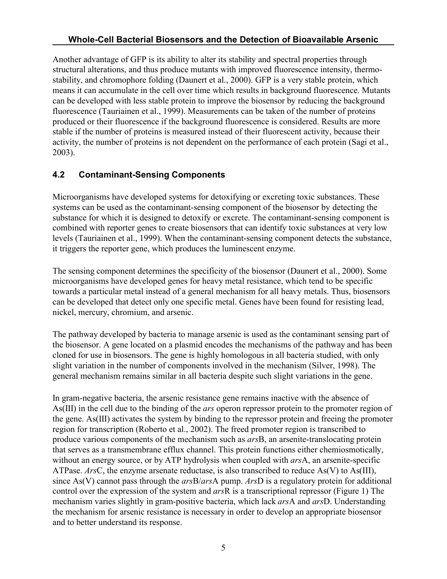Another advantage of GFP is its ability to alter its stability and spectral properties through structural alterations, and thus produce mutants with improved fluorescence intensity, thermostability, and chromophore folding (Daunert et al., 2000). GFP is a very stable protein, which means it can accumulate in the cell over time which results in background fluorescence. Mutants can be developed with less stable protein to improve the biosensor by reducing the background fluorescence (Tauriainen et al., 1999). Measurements can be taken of the number of proteins produced or their fluorescence if the background fluorescence is considered. Results are more stable if the number of proteins is measured instead of their fluorescent activity, because their activity, the number of proteins is not dependent on the performance of each protein (Sagi et al., 2003).

## **4.2 Contaminant-Sensing Components**

Microorganisms have developed systems for detoxifying or excreting toxic substances. These systems can be used as the contaminant-sensing component of the biosensor by detecting the substance for which it is designed to detoxify or excrete. The contaminant-sensing component is combined with reporter genes to create biosensors that can identify toxic substances at very low levels (Tauriainen et al., 1999). When the contaminant-sensing component detects the substance, it triggers the reporter gene, which produces the luminescent enzyme.

The sensing component determines the specificity of the biosensor (Daunert et al., 2000). Some microorganisms have developed genes for heavy metal resistance, which tend to be specific towards a particular metal instead of a general mechanism for all heavy metals. Thus, biosensors can be developed that detect only one specific metal. Genes have been found for resisting lead, nickel, mercury, chromium, and arsenic.

The pathway developed by bacteria to manage arsenic is used as the contaminant sensing part of the biosensor. A gene located on a plasmid encodes the mechanisms of the pathway and has been cloned for use in biosensors. The gene is highly homologous in all bacteria studied, with only slight variation in the number of components involved in the mechanism (Silver, 1998). The general mechanism remains similar in all bacteria despite such slight variations in the gene.

In gram-negative bacteria, the arsenic resistance gene remains inactive with the absence of As(III) in the cell due to the binding of the *ars* operon repressor protein to the promoter region of the gene. As(III) activates the system by binding to the repressor protein and freeing the promoter region for transcription (Roberto et al., 2002). The freed promoter region is transcribed to produce various components of the mechanism such as *ars*B, an arsenite-translocating protein that serves as a transmembrane efflux channel. This protein functions either chemiosmotically, without an energy source, or by ATP hydrolysis when coupled with *ars*A, an arsenite-specific ATPase. *Ars*C, the enzyme arsenate reductase, is also transcribed to reduce As(V) to As(III), since As(V) cannot pass through the *ars*B/*ars*A pump. *Ars*D is a regulatory protein for additional control over the expression of the system and *ars*R is a transcriptional repressor (Figure 1) The mechanism varies slightly in gram-positive bacteria, which lack *ars*A and *ars*D. Understanding the mechanism for arsenic resistance is necessary in order to develop an appropriate biosensor and to better understand its response.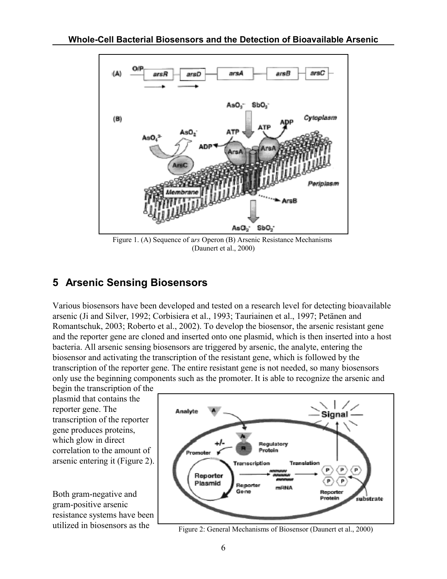

Figure 1. (A) Sequence of a*rs* Operon (B) Arsenic Resistance Mechanisms (Daunert et al., 2000)

# **5 Arsenic Sensing Biosensors**

Various biosensors have been developed and tested on a research level for detecting bioavailable arsenic (Ji and Silver, 1992; Corbisiera et al., 1993; Tauriainen et al., 1997; Petänen and Romantschuk, 2003; Roberto et al., 2002). To develop the biosensor, the arsenic resistant gene and the reporter gene are cloned and inserted onto one plasmid, which is then inserted into a host bacteria. All arsenic sensing biosensors are triggered by arsenic, the analyte, entering the biosensor and activating the transcription of the resistant gene, which is followed by the transcription of the reporter gene. The entire resistant gene is not needed, so many biosensors only use the beginning components such as the promoter. It is able to recognize the arsenic and

begin the transcription of the plasmid that contains the reporter gene. The transcription of the reporter gene produces proteins, which glow in direct correlation to the amount of arsenic entering it (Figure 2).

Both gram-negative and gram-positive arsenic resistance systems have been utilized in biosensors as the



Figure 2: General Mechanisms of Biosensor (Daunert et al., 2000)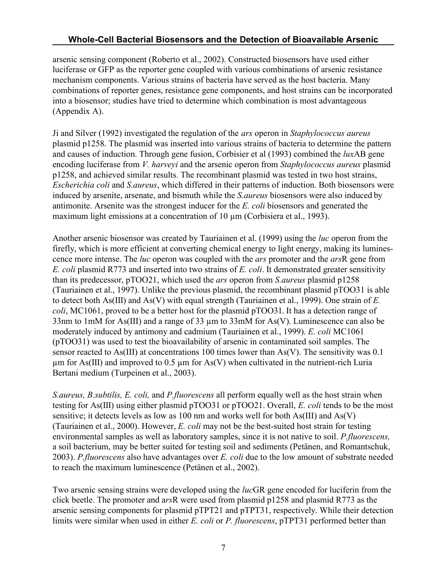arsenic sensing component (Roberto et al., 2002). Constructed biosensors have used either luciferase or GFP as the reporter gene coupled with various combinations of arsenic resistance mechanism components. Various strains of bacteria have served as the host bacteria. Many combinations of reporter genes, resistance gene components, and host strains can be incorporated into a biosensor; studies have tried to determine which combination is most advantageous (Appendix A).

Ji and Silver (1992) investigated the regulation of the *ars* operon in *Staphylococcus aureus* plasmid p1258. The plasmid was inserted into various strains of bacteria to determine the pattern and causes of induction. Through gene fusion, Corbisier et al (1993) combined the *lux*AB gene encoding luciferase from *V. harveyi* and the arsenic operon from *Staphylococcus aureus* plasmid p1258, and achieved similar results. The recombinant plasmid was tested in two host strains, *Escherichia coli* and *S.aureus*, which differed in their patterns of induction. Both biosensors were induced by arsenite, arsenate, and bismuth while the *S.aureus* biosensors were also induced by antimonite. Arsenite was the strongest inducer for the *E. coli* biosensors and generated the maximum light emissions at a concentration of 10  $\mu$ m (Corbisiera et al., 1993).

Another arsenic biosensor was created by Tauriainen et al. (1999) using the *luc* operon from the firefly, which is more efficient at converting chemical energy to light energy, making its luminescence more intense. The *luc* operon was coupled with the *ars* promoter and the *ars*R gene from *E. coli* plasmid R773 and inserted into two strains of *E. coli*. It demonstrated greater sensitivity than its predecessor, pTOO21, which used the *ars* operon from *S.aureus* plasmid p1258 (Tauriainen et al., 1997). Unlike the previous plasmid, the recombinant plasmid pTOO31 is able to detect both As(III) and As(V) with equal strength (Tauriainen et al., 1999). One strain of *E. coli*, MC1061, proved to be a better host for the plasmid pTOO31. It has a detection range of 33nm to 1mM for As(III) and a range of 33 µm to 33mM for As(V). Luminescence can also be moderately induced by antimony and cadmium (Tauriainen et al., 1999). *E. coli* MC1061 (pTOO31) was used to test the bioavailability of arsenic in contaminated soil samples. The sensor reacted to As(III) at concentrations 100 times lower than As(V). The sensitivity was 0.1  $\mu$ m for As(III) and improved to 0.5  $\mu$ m for As(V) when cultivated in the nutrient-rich Luria Bertani medium (Turpeinen et al., 2003).

*S.aureus, B.subtilis, E. coli,* and *P.fluorescens* all perform equally well as the host strain when testing for As(III) using either plasmid pTOO31 or pTOO21. Overall, *E. coli* tends to be the most sensitive; it detects levels as low as 100 nm and works well for both As(III) and As(V) (Tauriainen et al., 2000). However, *E. coli* may not be the best-suited host strain for testing environmental samples as well as laboratory samples, since it is not native to soil. *P.fluorescens,* a soil bacterium, may be better suited for testing soil and sediments (Petänen, and Romantschuk, 2003). *P.fluorescens* also have advantages over *E. coli* due to the low amount of substrate needed to reach the maximum luminescence (Petänen et al., 2002).

Two arsenic sensing strains were developed using the *luc*GR gene encoded for luciferin from the click beetle. The promoter and a*rs*R were used from plasmid p1258 and plasmid R773 as the arsenic sensing components for plasmid pTPT21 and pTPT31, respectively. While their detection limits were similar when used in either *E. coli* or *P. fluorescens*, pTPT31 performed better than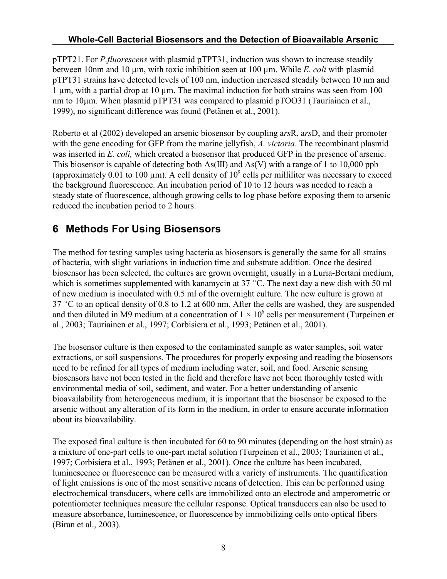pTPT21. For *P.fluorescens* with plasmid pTPT31, induction was shown to increase steadily between 10nm and 10 µm, with toxic inhibition seen at 100 µm. While *E. coli* with plasmid pTPT31 strains have detected levels of 100 nm, induction increased steadily between 10 nm and 1  $\mu$ m, with a partial drop at 10  $\mu$ m. The maximal induction for both strains was seen from 100 nm to 10 $\mu$ m. When plasmid pTPT31 was compared to plasmid pTOO31 (Tauriainen et al., 1999), no significant difference was found (Petänen et al., 2001).

Roberto et al (2002) developed an arsenic biosensor by coupling a*rs*R, a*rs*D, and their promoter with the gene encoding for GFP from the marine jellyfish, *A. victoria*. The recombinant plasmid was inserted in *E. coli*, which created a biosensor that produced GFP in the presence of arsenic. This biosensor is capable of detecting both As(III) and As(V) with a range of 1 to 10,000 ppb (approximately 0.01 to 100  $\mu$ m). A cell density of 10<sup>9</sup> cells per milliliter was necessary to exceed the background fluorescence. An incubation period of 10 to 12 hours was needed to reach a steady state of fluorescence, although growing cells to log phase before exposing them to arsenic reduced the incubation period to 2 hours.

## **6 Methods For Using Biosensors**

The method for testing samples using bacteria as biosensors is generally the same for all strains of bacteria, with slight variations in induction time and substrate addition. Once the desired biosensor has been selected, the cultures are grown overnight, usually in a Luria-Bertani medium, which is sometimes supplemented with kanamycin at 37  $^{\circ}$ C. The next day a new dish with 50 ml of new medium is inoculated with 0.5 ml of the overnight culture. The new culture is grown at  $37 \text{ °C}$  to an optical density of 0.8 to 1.2 at 600 nm. After the cells are washed, they are suspended and then diluted in M9 medium at a concentration of  $1 \times 10^6$  cells per measurement (Turpeinen et al., 2003; Tauriainen et al., 1997; Corbisiera et al., 1993; Pet‰nen et al., 2001).

The biosensor culture is then exposed to the contaminated sample as water samples, soil water extractions, or soil suspensions. The procedures for properly exposing and reading the biosensors need to be refined for all types of medium including water, soil, and food. Arsenic sensing biosensors have not been tested in the field and therefore have not been thoroughly tested with environmental media of soil, sediment, and water. For a better understanding of arsenic bioavailability from heterogeneous medium, it is important that the biosensor be exposed to the arsenic without any alteration of its form in the medium, in order to ensure accurate information about its bioavailability.

The exposed final culture is then incubated for 60 to 90 minutes (depending on the host strain) as a mixture of one-part cells to one-part metal solution (Turpeinen et al., 2003; Tauriainen et al., 1997; Corbisiera et al., 1993; Petänen et al., 2001). Once the culture has been incubated, luminescence or fluorescence can be measured with a variety of instruments. The quantification of light emissions is one of the most sensitive means of detection. This can be performed using electrochemical transducers, where cells are immobilized onto an electrode and amperometric or potentiometer techniques measure the cellular response. Optical transducers can also be used to measure absorbance, luminescence, or fluorescence by immobilizing cells onto optical fibers (Biran et al., 2003).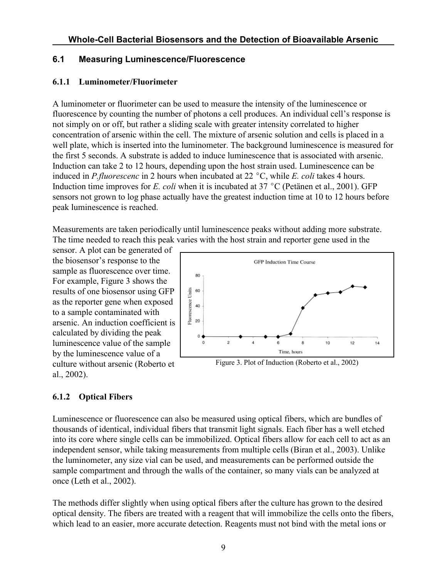#### **6.1 Measuring Luminescence/Fluorescence**

#### **6.1.1 Luminometer/Fluorimeter**

A luminometer or fluorimeter can be used to measure the intensity of the luminescence or fluorescence by counting the number of photons a cell produces. An individual cell's response is not simply on or off, but rather a sliding scale with greater intensity correlated to higher concentration of arsenic within the cell. The mixture of arsenic solution and cells is placed in a well plate, which is inserted into the luminometer. The background luminescence is measured for the first 5 seconds. A substrate is added to induce luminescence that is associated with arsenic. Induction can take 2 to 12 hours, depending upon the host strain used. Luminescence can be induced in *P.fluorescenc* in 2 hours when incubated at  $22^{\circ}$ C, while *E. coli* takes 4 hours. Induction time improves for *E. coli* when it is incubated at  $37^{\circ}$ C (Petänen et al., 2001). GFP sensors not grown to log phase actually have the greatest induction time at 10 to 12 hours before peak luminescence is reached.

Measurements are taken periodically until luminescence peaks without adding more substrate. The time needed to reach this peak varies with the host strain and reporter gene used in the

sensor. A plot can be generated of the biosensor's response to the sample as fluorescence over time. For example, Figure 3 shows the results of one biosensor using GFP as the reporter gene when exposed to a sample contaminated with arsenic. An induction coefficient is calculated by dividing the peak luminescence value of the sample by the luminescence value of a culture without arsenic (Roberto et al., 2002).



Figure 3. Plot of Induction (Roberto et al., 2002)

## **6.1.2 Optical Fibers**

Luminescence or fluorescence can also be measured using optical fibers, which are bundles of thousands of identical, individual fibers that transmit light signals. Each fiber has a well etched into its core where single cells can be immobilized. Optical fibers allow for each cell to act as an independent sensor, while taking measurements from multiple cells (Biran et al., 2003). Unlike the luminometer, any size vial can be used, and measurements can be performed outside the sample compartment and through the walls of the container, so many vials can be analyzed at once (Leth et al., 2002).

The methods differ slightly when using optical fibers after the culture has grown to the desired optical density. The fibers are treated with a reagent that will immobilize the cells onto the fibers, which lead to an easier, more accurate detection. Reagents must not bind with the metal ions or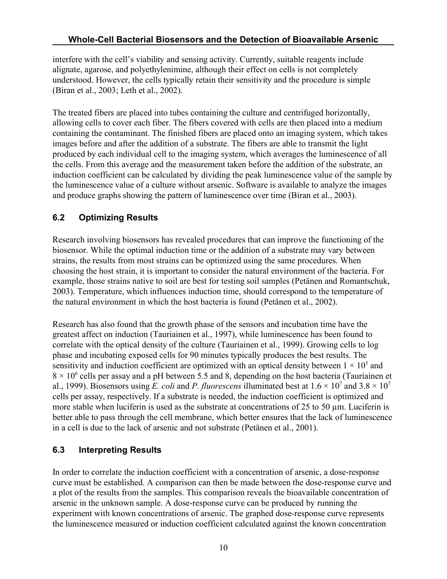interfere with the cell's viability and sensing activity. Currently, suitable reagents include alignate, agarose, and polyethylenimine, although their effect on cells is not completely understood. However, the cells typically retain their sensitivity and the procedure is simple (Biran et al., 2003; Leth et al., 2002).

The treated fibers are placed into tubes containing the culture and centrifuged horizontally, allowing cells to cover each fiber. The fibers covered with cells are then placed into a medium containing the contaminant. The finished fibers are placed onto an imaging system, which takes images before and after the addition of a substrate. The fibers are able to transmit the light produced by each individual cell to the imaging system, which averages the luminescence of all the cells. From this average and the measurement taken before the addition of the substrate, an induction coefficient can be calculated by dividing the peak luminescence value of the sample by the luminescence value of a culture without arsenic. Software is available to analyze the images and produce graphs showing the pattern of luminescence over time (Biran et al., 2003).

## **6.2 Optimizing Results**

Research involving biosensors has revealed procedures that can improve the functioning of the biosensor. While the optimal induction time or the addition of a substrate may vary between strains, the results from most strains can be optimized using the same procedures. When choosing the host strain, it is important to consider the natural environment of the bacteria. For example, those strains native to soil are best for testing soil samples (Petänen and Romantschuk, 2003). Temperature, which influences induction time, should correspond to the temperature of the natural environment in which the host bacteria is found (Petänen et al., 2002).

Research has also found that the growth phase of the sensors and incubation time have the greatest affect on induction (Tauriainen et al., 1997), while luminescence has been found to correlate with the optical density of the culture (Tauriainen et al., 1999). Growing cells to log phase and incubating exposed cells for 90 minutes typically produces the best results. The sensitivity and induction coefficient are optimized with an optical density between  $1 \times 10^5$  and  $8 \times 10^6$  cells per assay and a pH between 5.5 and 8, depending on the host bacteria (Tauriainen et al., 1999). Biosensors using *E. coli* and *P. fluorescens* illuminated best at  $1.6 \times 10^7$  and  $3.8 \times 10^7$ cells per assay, respectively. If a substrate is needed, the induction coefficient is optimized and more stable when luciferin is used as the substrate at concentrations of 25 to 50 µm. Luciferin is better able to pass through the cell membrane, which better ensures that the lack of luminescence in a cell is due to the lack of arsenic and not substrate (Petänen et al., 2001).

#### **6.3 Interpreting Results**

In order to correlate the induction coefficient with a concentration of arsenic, a dose-response curve must be established. A comparison can then be made between the dose-response curve and a plot of the results from the samples. This comparison reveals the bioavailable concentration of arsenic in the unknown sample. A dose-response curve can be produced by running the experiment with known concentrations of arsenic. The graphed dose-response curve represents the luminescence measured or induction coefficient calculated against the known concentration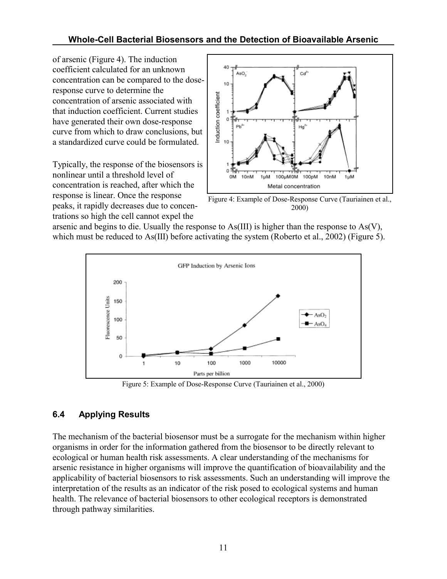of arsenic (Figure 4). The induction coefficient calculated for an unknown concentration can be compared to the doseresponse curve to determine the concentration of arsenic associated with that induction coefficient. Current studies have generated their own dose-response curve from which to draw conclusions, but a standardized curve could be formulated.

Typically, the response of the biosensors is nonlinear until a threshold level of concentration is reached, after which the response is linear. Once the response peaks, it rapidly decreases due to concentrations so high the cell cannot expel the



Figure 4: Example of Dose-Response Curve (Tauriainen et al., 2000)

arsenic and begins to die. Usually the response to As(III) is higher than the response to As(V), which must be reduced to As(III) before activating the system (Roberto et al., 2002) (Figure 5).



Figure 5: Example of Dose-Response Curve (Tauriainen et al., 2000)

#### **6.4 Applying Results**

The mechanism of the bacterial biosensor must be a surrogate for the mechanism within higher organisms in order for the information gathered from the biosensor to be directly relevant to ecological or human health risk assessments. A clear understanding of the mechanisms for arsenic resistance in higher organisms will improve the quantification of bioavailability and the applicability of bacterial biosensors to risk assessments. Such an understanding will improve the interpretation of the results as an indicator of the risk posed to ecological systems and human health. The relevance of bacterial biosensors to other ecological receptors is demonstrated through pathway similarities.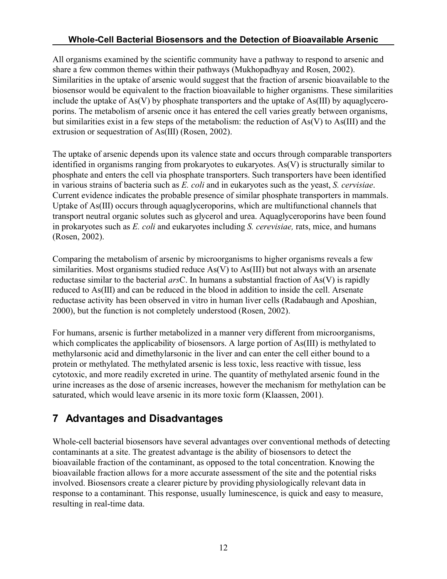All organisms examined by the scientific community have a pathway to respond to arsenic and share a few common themes within their pathways (Mukhopadhyay and Rosen, 2002). Similarities in the uptake of arsenic would suggest that the fraction of arsenic bioavailable to the biosensor would be equivalent to the fraction bioavailable to higher organisms. These similarities include the uptake of As(V) by phosphate transporters and the uptake of As(III) by aquaglyceroporins. The metabolism of arsenic once it has entered the cell varies greatly between organisms, but similarities exist in a few steps of the metabolism: the reduction of As(V) to As(III) and the extrusion or sequestration of As(III) (Rosen, 2002).

The uptake of arsenic depends upon its valence state and occurs through comparable transporters identified in organisms ranging from prokaryotes to eukaryotes. As(V) is structurally similar to phosphate and enters the cell via phosphate transporters. Such transporters have been identified in various strains of bacteria such as *E. coli* and in eukaryotes such as the yeast, *S. cervisiae*. Current evidence indicates the probable presence of similar phosphate transporters in mammals. Uptake of As(III) occurs through aquaglyceroporins, which are multifunctional channels that transport neutral organic solutes such as glycerol and urea. Aquaglyceroporins have been found in prokaryotes such as *E. coli* and eukaryotes including *S. cerevisiae,* rats, mice, and humans (Rosen, 2002).

Comparing the metabolism of arsenic by microorganisms to higher organisms reveals a few similarities. Most organisms studied reduce As(V) to As(III) but not always with an arsenate reductase similar to the bacterial *ars*C. In humans a substantial fraction of As(V) is rapidly reduced to As(III) and can be reduced in the blood in addition to inside the cell. Arsenate reductase activity has been observed in vitro in human liver cells (Radabaugh and Aposhian, 2000), but the function is not completely understood (Rosen, 2002).

For humans, arsenic is further metabolized in a manner very different from microorganisms, which complicates the applicability of biosensors. A large portion of As(III) is methylated to methylarsonic acid and dimethylarsonic in the liver and can enter the cell either bound to a protein or methylated. The methylated arsenic is less toxic, less reactive with tissue, less cytotoxic, and more readily excreted in urine. The quantity of methylated arsenic found in the urine increases as the dose of arsenic increases, however the mechanism for methylation can be saturated, which would leave arsenic in its more toxic form (Klaassen, 2001).

## **7 Advantages and Disadvantages**

Whole-cell bacterial biosensors have several advantages over conventional methods of detecting contaminants at a site. The greatest advantage is the ability of biosensors to detect the bioavailable fraction of the contaminant, as opposed to the total concentration. Knowing the bioavailable fraction allows for a more accurate assessment of the site and the potential risks involved. Biosensors create a clearer picture by providing physiologically relevant data in response to a contaminant. This response, usually luminescence, is quick and easy to measure, resulting in real-time data.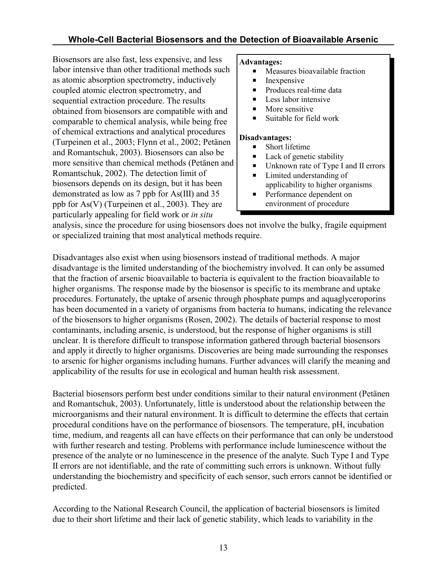Biosensors are also fast, less expensive, and less labor intensive than other traditional methods such as atomic absorption spectrometry, inductively coupled atomic electron spectrometry, and sequential extraction procedure. The results obtained from biosensors are compatible with and comparable to chemical analysis, while being free of chemical extractions and analytical procedures (Turpeinen et al., 2003; Flynn et al., 2002; Petänen and Romantschuk, 2003). Biosensors can also be more sensitive than chemical methods (Petänen and Romantschuk, 2002). The detection limit of biosensors depends on its design, but it has been demonstrated as low as 7 ppb for As(III) and 35 ppb for As(V) (Turpeinen et al., 2003). They are particularly appealing for field work or *in situ*

#### **Advantages:**

- Measures bioavailable fraction
- $\blacksquare$  Inexpensive
- $\blacksquare$  Produces real-time data
- $\blacksquare$  Less labor intensive
- $\blacksquare$  More sensitive
- Suitable for field work

#### **Disadvantages:**

- Short lifetime
- $\blacksquare$  Lack of genetic stability
- **P** Unknown rate of Type I and II errors
- Limited understanding of applicability to higher organisms
- Performance dependent on environment of procedure

analysis, since the procedure for using biosensors does not involve the bulky, fragile equipment or specialized training that most analytical methods require.

Disadvantages also exist when using biosensors instead of traditional methods. A major disadvantage is the limited understanding of the biochemistry involved. It can only be assumed that the fraction of arsenic bioavailable to bacteria is equivalent to the fraction bioavailable to higher organisms. The response made by the biosensor is specific to its membrane and uptake procedures. Fortunately, the uptake of arsenic through phosphate pumps and aquaglyceroporins has been documented in a variety of organisms from bacteria to humans, indicating the relevance of the biosensors to higher organisms (Rosen, 2002). The details of bacterial response to most contaminants, including arsenic, is understood, but the response of higher organisms is still unclear. It is therefore difficult to transpose information gathered through bacterial biosensors and apply it directly to higher organisms. Discoveries are being made surrounding the responses to arsenic for higher organisms including humans. Further advances will clarify the meaning and applicability of the results for use in ecological and human health risk assessment.

Bacterial biosensors perform best under conditions similar to their natural environment (Petänen and Romantschuk, 2003). Unfortunately, little is understood about the relationship between the microorganisms and their natural environment. It is difficult to determine the effects that certain procedural conditions have on the performance of biosensors. The temperature, pH, incubation time, medium, and reagents all can have effects on their performance that can only be understood with further research and testing. Problems with performance include luminescence without the presence of the analyte or no luminescence in the presence of the analyte. Such Type I and Type II errors are not identifiable, and the rate of committing such errors is unknown. Without fully understanding the biochemistry and specificity of each sensor, such errors cannot be identified or predicted.

According to the National Research Council, the application of bacterial biosensors is limited due to their short lifetime and their lack of genetic stability, which leads to variability in the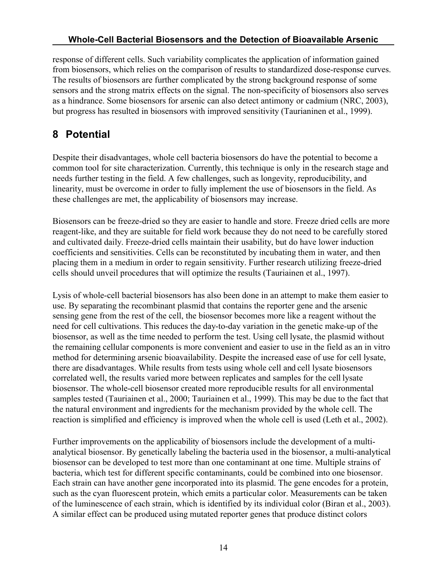response of different cells. Such variability complicates the application of information gained from biosensors, which relies on the comparison of results to standardized dose-response curves. The results of biosensors are further complicated by the strong background response of some sensors and the strong matrix effects on the signal. The non-specificity of biosensors also serves as a hindrance. Some biosensors for arsenic can also detect antimony or cadmium (NRC, 2003), but progress has resulted in biosensors with improved sensitivity (Taurianinen et al., 1999).

## **8 Potential**

Despite their disadvantages, whole cell bacteria biosensors do have the potential to become a common tool for site characterization. Currently, this technique is only in the research stage and needs further testing in the field. A few challenges, such as longevity, reproducibility, and linearity, must be overcome in order to fully implement the use of biosensors in the field. As these challenges are met, the applicability of biosensors may increase.

Biosensors can be freeze-dried so they are easier to handle and store. Freeze dried cells are more reagent-like, and they are suitable for field work because they do not need to be carefully stored and cultivated daily. Freeze-dried cells maintain their usability, but do have lower induction coefficients and sensitivities. Cells can be reconstituted by incubating them in water, and then placing them in a medium in order to regain sensitivity. Further research utilizing freeze-dried cells should unveil procedures that will optimize the results (Tauriainen et al., 1997).

Lysis of whole-cell bacterial biosensors has also been done in an attempt to make them easier to use. By separating the recombinant plasmid that contains the reporter gene and the arsenic sensing gene from the rest of the cell, the biosensor becomes more like a reagent without the need for cell cultivations. This reduces the day-to-day variation in the genetic make-up of the biosensor, as well as the time needed to perform the test. Using cell lysate, the plasmid without the remaining cellular components is more convenient and easier to use in the field as an in vitro method for determining arsenic bioavailability. Despite the increased ease of use for cell lysate, there are disadvantages. While results from tests using whole cell and cell lysate biosensors correlated well, the results varied more between replicates and samples for the cell lysate biosensor. The whole-cell biosensor created more reproducible results for all environmental samples tested (Tauriainen et al., 2000; Tauriainen et al., 1999). This may be due to the fact that the natural environment and ingredients for the mechanism provided by the whole cell. The reaction is simplified and efficiency is improved when the whole cell is used (Leth et al., 2002).

Further improvements on the applicability of biosensors include the development of a multianalytical biosensor. By genetically labeling the bacteria used in the biosensor, a multi-analytical biosensor can be developed to test more than one contaminant at one time. Multiple strains of bacteria, which test for different specific contaminants, could be combined into one biosensor. Each strain can have another gene incorporated into its plasmid. The gene encodes for a protein, such as the cyan fluorescent protein, which emits a particular color. Measurements can be taken of the luminescence of each strain, which is identified by its individual color (Biran et al., 2003). A similar effect can be produced using mutated reporter genes that produce distinct colors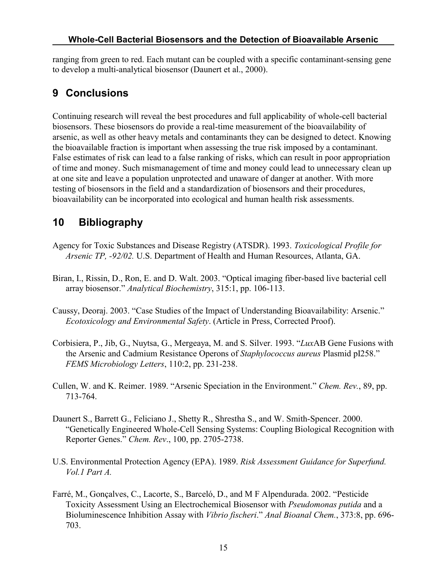ranging from green to red. Each mutant can be coupled with a specific contaminant-sensing gene to develop a multi-analytical biosensor (Daunert et al., 2000).

## **9 Conclusions**

Continuing research will reveal the best procedures and full applicability of whole-cell bacterial biosensors. These biosensors do provide a real-time measurement of the bioavailability of arsenic, as well as other heavy metals and contaminants they can be designed to detect. Knowing the bioavailable fraction is important when assessing the true risk imposed by a contaminant. False estimates of risk can lead to a false ranking of risks, which can result in poor appropriation of time and money. Such mismanagement of time and money could lead to unnecessary clean up at one site and leave a population unprotected and unaware of danger at another. With more testing of biosensors in the field and a standardization of biosensors and their procedures, bioavailability can be incorporated into ecological and human health risk assessments.

# **10 Bibliography**

- Agency for Toxic Substances and Disease Registry (ATSDR). 1993. *Toxicological Profile for Arsenic TP, -92/02.* U.S. Department of Health and Human Resources, Atlanta, GA.
- Biran, I., Rissin, D., Ron, E. and D. Walt. 2003. "Optical imaging fiber-based live bacterial cell array biosensor.î *Analytical Biochemistry*, 315:1, pp. 106-113.
- Caussy, Deoraj. 2003. "Case Studies of the Impact of Understanding Bioavailability: Arsenic." *Ecotoxicology and Environmental Safety*. (Article in Press, Corrected Proof).
- Corbisiera, P., Jib, G., Nuytsa, G., Mergeaya, M. and S. Silver. 1993. *"LuxAB* Gene Fusions with the Arsenic and Cadmium Resistance Operons of *Staphylococcus aureus* Plasmid pI258.î *FEMS Microbiology Letters*, 110:2, pp. 231-238.
- Cullen, W. and K. Reimer. 1989. "Arsenic Speciation in the Environment." *Chem. Rev.*, 89, pp. 713-764.
- Daunert S., Barrett G., Feliciano J., Shetty R., Shrestha S., and W. Smith-Spencer. 2000. ìGenetically Engineered Whole-Cell Sensing Systems: Coupling Biological Recognition with Reporter Genes.î *Chem. Rev*., 100, pp. 2705-2738.
- U.S. Environmental Protection Agency (EPA). 1989. *Risk Assessment Guidance for Superfund. Vol.1 Part A.*
- Farré, M., Gonçalves, C., Lacorte, S., Barceló, D., and M F Alpendurada. 2002. "Pesticide Toxicity Assessment Using an Electrochemical Biosensor with *Pseudomonas putida* and a Bioluminescence Inhibition Assay with *Vibrio fischeri.*" *Anal Bioanal Chem.*, 373:8, pp. 696-703.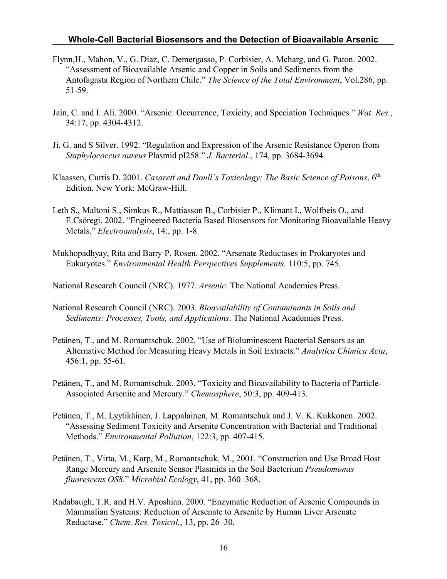- Flynn,H., Mahon, V., G. Diaz, C. Demergasso, P. Corbisier, A. Mcharg, and G. Paton. 2002. ìAssessment of Bioavailable Arsenic and Copper in Soils and Sediments from the Antofagasta Region of Northern Chile." *The Science of the Total Environment*, Vol.286, pp. 51-59.
- Jain, C. and I. Ali. 2000. "Arsenic: Occurrence, Toxicity, and Speciation Techniques." Wat. Res., 34:17, pp. 4304-4312.
- Ji, G. and S Silver. 1992. "Regulation and Expression of the Arsenic Resistance Operon from *Staphylococcus aureus* Plasmid pI258.î *J. Bacteriol*., 174, pp. 3684-3694.
- Klaassen, Curtis D. 2001. *Casarett and Doull's Toxicology: The Basic Science of Poisons*, 6<sup>th</sup> Edition. New York: McGraw-Hill.
- Leth S., Maltoni S., Simkus R., Mattiasson B., Corbisier P., Klimant I., Wolfbeis O., and E.Csöregi. 2002. "Engineered Bacteria Based Biosensors for Monitoring Bioavailable Heavy Metals.î *Electroanalysis*, 14:, pp. 1-8.
- Mukhopadhyay, Rita and Barry P. Rosen. 2002. "Arsenate Reductases in Prokaryotes and Eukaryotes.î *Environmental Health Perspectives Supplements.* 110:5, pp. 745.

National Research Council (NRC). 1977. *Arsenic*. The National Academies Press.

- National Research Council (NRC). 2003. *Bioavailability of Contaminants in Soils and Sediments: Processes, Tools, and Applications*. The National Academies Press.
- Petänen, T., and M. Romantschuk. 2002. "Use of Bioluminescent Bacterial Sensors as an Alternative Method for Measuring Heavy Metals in Soil Extracts.î *Analytica Chimica Acta*, 456:1, pp. 55-61.
- Petänen, T., and M. Romantschuk. 2003. "Toxicity and Bioavailability to Bacteria of Particle-Associated Arsenite and Mercury.î *Chemosphere*, 50:3, pp. 409-413.
- Petänen, T., M. Lyytikäinen, J. Lappalainen, M. Romantschuk and J. V. K. Kukkonen. 2002. ìAssessing Sediment Toxicity and Arsenite Concentration with Bacterial and Traditional Methods.î *Environmental Pollution*, 122:3, pp. 407-415.
- Petänen, T., Virta, M., Karp, M., Romantschuk, M., 2001. "Construction and Use Broad Host Range Mercury and Arsenite Sensor Plasmids in the Soil Bacterium *Pseudomonas fluorescens OS8.*" *Microbial Ecology*, 41, pp. 360–368.
- Radabaugh, T.R. and H.V. Aposhian. 2000. "Enzymatic Reduction of Arsenic Compounds in Mammalian Systems: Reduction of Arsenate to Arsenite by Human Liver Arsenate Reductase." *Chem. Res. Toxicol.*, 13, pp. 26–30.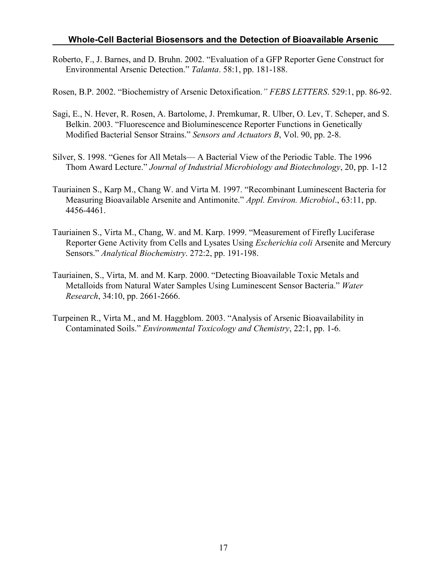Roberto, F., J. Barnes, and D. Bruhn. 2002. "Evaluation of a GFP Reporter Gene Construct for Environmental Arsenic Detection.î *Talanta*. 58:1, pp. 181-188.

Rosen, B.P. 2002. "Biochemistry of Arsenic Detoxification." FEBS LETTERS. 529:1, pp. 86-92.

- Sagi, E., N. Hever, R. Rosen, A. Bartolome, J. Premkumar, R. Ulber, O. Lev, T. Scheper, and S. Belkin. 2003. "Fluorescence and Bioluminescence Reporter Functions in Genetically Modified Bacterial Sensor Strains." *Sensors and Actuators B*, Vol. 90, pp. 2-8.
- Silver, S. 1998. "Genes for All Metals— A Bacterial View of the Periodic Table. The 1996 Thom Award Lecture." *Journal of Industrial Microbiology and Biotechnology*, 20, pp. 1-12
- Tauriainen S., Karp M., Chang W. and Virta M. 1997. "Recombinant Luminescent Bacteria for Measuring Bioavailable Arsenite and Antimonite.î *Appl. Environ. Microbiol*., 63:11, pp. 4456-4461.
- Tauriainen S., Virta M., Chang, W. and M. Karp. 1999. "Measurement of Firefly Luciferase Reporter Gene Activity from Cells and Lysates Using *Escherichia coli* Arsenite and Mercury Sensors." Analytical Biochemistry. 272:2, pp. 191-198.
- Tauriainen, S., Virta, M. and M. Karp. 2000. "Detecting Bioavailable Toxic Metals and Metalloids from Natural Water Samples Using Luminescent Sensor Bacteria.<sup>"</sup> Water *Research*, 34:10, pp. 2661-2666.
- Turpeinen R., Virta M., and M. Haggblom. 2003. "Analysis of Arsenic Bioavailability in Contaminated Soils.î *Environmental Toxicology and Chemistry*, 22:1, pp. 1-6.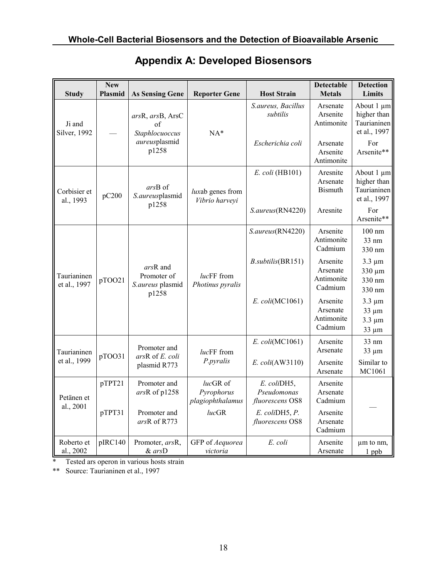| <b>Study</b>                | <b>New</b><br><b>Plasmid</b> | <b>As Sensing Gene</b>                                                                                     | <b>Reporter Gene</b>               | <b>Host Strain</b>                            | <b>Detectable</b><br><b>Metals</b>            | <b>Detection</b><br><b>Limits</b>                        |  |
|-----------------------------|------------------------------|------------------------------------------------------------------------------------------------------------|------------------------------------|-----------------------------------------------|-----------------------------------------------|----------------------------------------------------------|--|
| Ji and<br>Silver, 1992      |                              | arsR, arsB, ArsC<br>of<br>Staphlocuoccus<br>aureusplasmid<br>p1258                                         | $NA*$                              | S.aureus, Bacillus<br>subtilis                | Arsenate<br>Arsenite<br>Antimonite            | About 1 µm<br>higher than<br>Taurianinen<br>et al., 1997 |  |
|                             |                              |                                                                                                            |                                    | Escherichia coli                              | Arsenate<br>Arsenite<br>Antimonite            | For<br>Arsenite**                                        |  |
| Corbisier et<br>al., 1993   | pC200                        | arsB of<br>S.aureusplasmid<br>p1258                                                                        | luxab genes from<br>Vibrio harveyi | $E.$ coli (HB101)                             | Aresnite<br>Arsenate<br>Bismuth               | About 1 µm<br>higher than<br>Taurianinen<br>et al., 1997 |  |
|                             |                              |                                                                                                            |                                    | S.aureus(RN4220)                              | Aresnite                                      | For<br>Arsenite**                                        |  |
|                             | pTOO21                       | arsR and<br>Promoter of<br>S.aureus plasmid<br>p1258                                                       | lucFF from<br>Photinus pyralis     | S.aureus(RN4220)                              | Arsenite<br>Antimonite<br>Cadmium             | $100 \text{ nm}$<br>33 nm<br>330 nm                      |  |
| Taurianinen<br>et al., 1997 |                              |                                                                                                            |                                    | B.subtilis(BR151)                             | Arsenite<br>Arsenate<br>Antimonite<br>Cadmium | $3.3 \mu m$<br>330 µm<br>330 nm<br>330 nm                |  |
|                             |                              |                                                                                                            |                                    | E. coli(MC1061)                               | Arsenite<br>Arsenate<br>Antimonite<br>Cadmium | $3.3 \mu m$<br>$33 \mu m$<br>$3.3 \mu m$<br>33 µm        |  |
| Taurianinen                 | pTOO31                       | Promoter and<br>arsR of E. coli<br>plasmid R773                                                            | lucFF from<br>P.pyralis            | $E.$ $coli(MC1061)$                           | Arsenite<br>Arsenate                          | $33 \text{ nm}$<br>$33 \mu m$                            |  |
| et al., 1999                |                              |                                                                                                            |                                    | $E.$ $coli(AW3110)$                           | Arsenite<br>Arsenate                          | Similar to<br>MC1061                                     |  |
| Petänen et<br>al., 2001     | pTPT21                       | lucGR of<br>Promoter and<br>arsR of p1258<br>Pyrophorus<br>Promoter and<br>lucGR<br>pTPT31<br>arsR of R773 | plagiophthalamus                   | E. coliDH5,<br>Pseudomonas<br>fluorescens OS8 | Arsenite<br>Arsenate<br>Cadmium               |                                                          |  |
|                             |                              |                                                                                                            |                                    | E. coliDH5, P.<br>fluorescens OS8             | Arsenite<br>Arsenate<br>Cadmium               |                                                          |  |
| Roberto et<br>al., 2002     | pIRC140                      | Promoter, arsR,<br>& arsD                                                                                  | GFP of Aequorea<br>victoria        | E. coli                                       | Arsenite<br>Arsenate                          | µm to nm,<br>$1$ ppb                                     |  |

# **Appendix A: Developed Biosensors**

\* Tested ars operon in various hosts strain

\*\* Source: Taurianinen et al., 1997